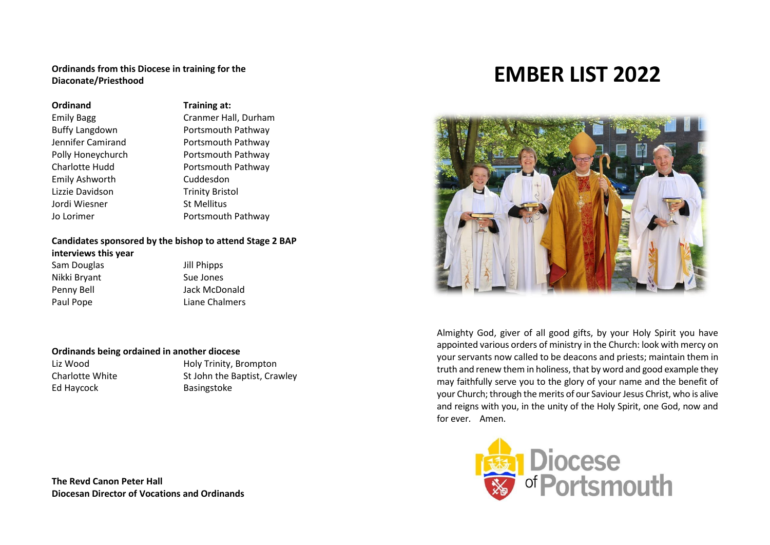#### **Ordinands from this Diocese in training for the Diaconate/Priesthood**

#### **Ordinand Training at:**

Emily Ashworth Cuddesdon Lizzie Davidson Trinity Bristol Jordi Wiesner St Mellitus

Emily Bagg Cranmer Hall, Durham Buffy Langdown Portsmouth Pathway Jennifer Camirand **Portsmouth Pathway** Polly Honeychurch **Portsmouth Pathway** Charlotte Hudd **Portsmouth Pathway** Jo Lorimer **Portsmouth Pathway** 

## **Candidates sponsored by the bishop to attend Stage 2 BAP**

#### **interviews this year**

Sam Douglas **Jill Phipps** Nikki Bryant Sue Jones Paul Pope **Liane Chalmers** 

Penny Bell **Connect Connect Account Penny Bell** Jack McDonald

### **Ordinands being ordained in another diocese**

Ed Haycock Basingstoke

Liz Wood **Holy Trinity, Brompton** Charlotte White St John the Baptist, Crawley

**The Revd Canon Peter Hall Diocesan Director of Vocations and Ordinands**

# **EMBER LIST 2022**



Almighty God, giver of all good gifts, by your Holy Spirit you have appointed various orders of ministry in the Church: look with mercy on your servants now called to be deacons and priests; maintain them in truth and renew them in holiness, that by word and good example they may faithfully serve you to the glory of your name and the benefit of your Church; through the merits of our Saviour Jesus Christ, who is alive and reigns with you, in the unity of the Holy Spirit, one God, now and for ever. Amen.